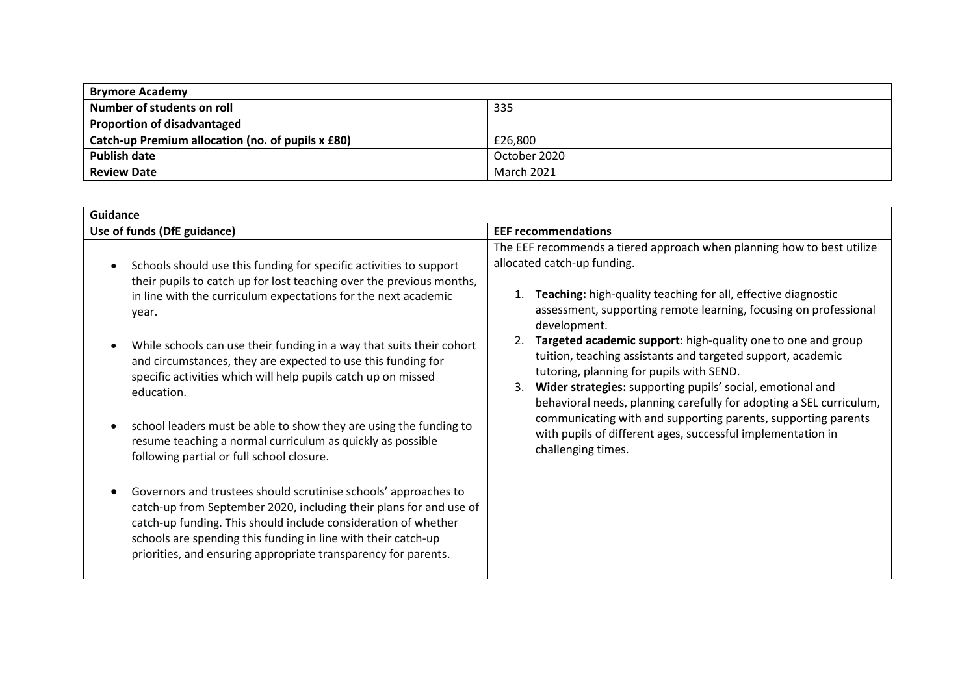| <b>Brymore Academy</b>                            |                   |  |  |
|---------------------------------------------------|-------------------|--|--|
| Number of students on roll                        | 335               |  |  |
| <b>Proportion of disadvantaged</b>                |                   |  |  |
| Catch-up Premium allocation (no. of pupils x £80) | £26,800           |  |  |
| <b>Publish date</b>                               | October 2020      |  |  |
| <b>Review Date</b>                                | <b>March 2021</b> |  |  |

| <b>Guidance</b>                                                                                                                                                                                                                                                                                                                            |                                                                                                                                                                                                                                                                                                                    |  |  |  |
|--------------------------------------------------------------------------------------------------------------------------------------------------------------------------------------------------------------------------------------------------------------------------------------------------------------------------------------------|--------------------------------------------------------------------------------------------------------------------------------------------------------------------------------------------------------------------------------------------------------------------------------------------------------------------|--|--|--|
| Use of funds (DfE guidance)                                                                                                                                                                                                                                                                                                                | <b>EEF recommendations</b>                                                                                                                                                                                                                                                                                         |  |  |  |
| Schools should use this funding for specific activities to support<br>their pupils to catch up for lost teaching over the previous months,<br>in line with the curriculum expectations for the next academic<br>year.                                                                                                                      | The EEF recommends a tiered approach when planning how to best utilize<br>allocated catch-up funding.<br>Teaching: high-quality teaching for all, effective diagnostic<br>assessment, supporting remote learning, focusing on professional<br>development.                                                         |  |  |  |
| While schools can use their funding in a way that suits their cohort<br>and circumstances, they are expected to use this funding for<br>specific activities which will help pupils catch up on missed<br>education.                                                                                                                        | Targeted academic support: high-quality one to one and group<br>tuition, teaching assistants and targeted support, academic<br>tutoring, planning for pupils with SEND.<br>Wider strategies: supporting pupils' social, emotional and<br>3.<br>behavioral needs, planning carefully for adopting a SEL curriculum, |  |  |  |
| school leaders must be able to show they are using the funding to<br>resume teaching a normal curriculum as quickly as possible<br>following partial or full school closure.                                                                                                                                                               | communicating with and supporting parents, supporting parents<br>with pupils of different ages, successful implementation in<br>challenging times.                                                                                                                                                                 |  |  |  |
| Governors and trustees should scrutinise schools' approaches to<br>catch-up from September 2020, including their plans for and use of<br>catch-up funding. This should include consideration of whether<br>schools are spending this funding in line with their catch-up<br>priorities, and ensuring appropriate transparency for parents. |                                                                                                                                                                                                                                                                                                                    |  |  |  |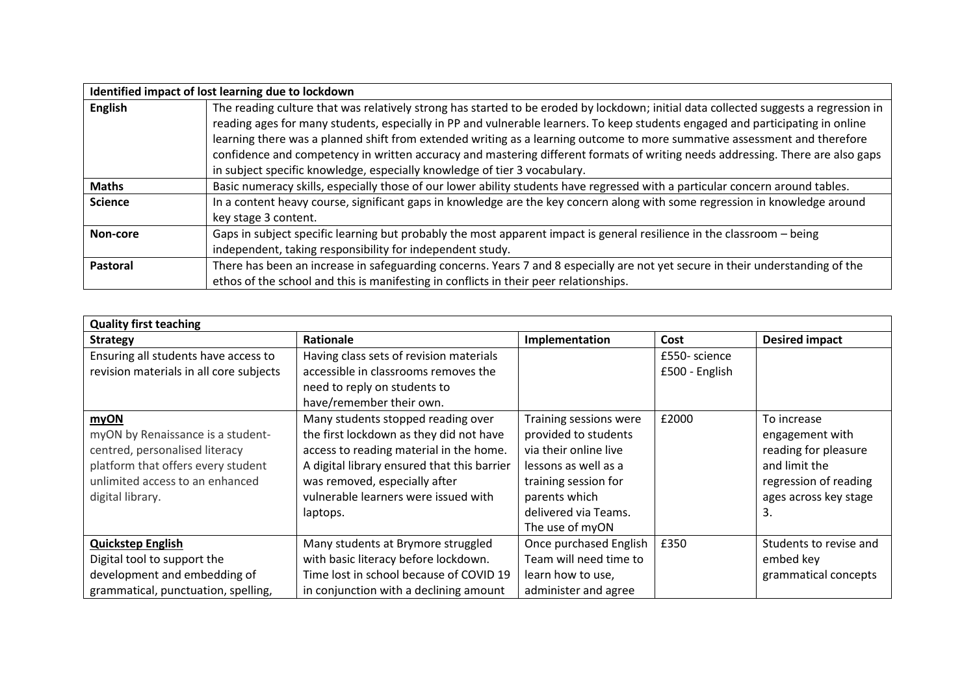|                 | Identified impact of lost learning due to lockdown                                                                                                                                                                                                                                                                                                                                                                                                                                                                                                                                                                 |
|-----------------|--------------------------------------------------------------------------------------------------------------------------------------------------------------------------------------------------------------------------------------------------------------------------------------------------------------------------------------------------------------------------------------------------------------------------------------------------------------------------------------------------------------------------------------------------------------------------------------------------------------------|
| <b>English</b>  | The reading culture that was relatively strong has started to be eroded by lockdown; initial data collected suggests a regression in<br>reading ages for many students, especially in PP and vulnerable learners. To keep students engaged and participating in online<br>learning there was a planned shift from extended writing as a learning outcome to more summative assessment and therefore<br>confidence and competency in written accuracy and mastering different formats of writing needs addressing. There are also gaps<br>in subject specific knowledge, especially knowledge of tier 3 vocabulary. |
| <b>Maths</b>    | Basic numeracy skills, especially those of our lower ability students have regressed with a particular concern around tables.                                                                                                                                                                                                                                                                                                                                                                                                                                                                                      |
| <b>Science</b>  | In a content heavy course, significant gaps in knowledge are the key concern along with some regression in knowledge around<br>key stage 3 content.                                                                                                                                                                                                                                                                                                                                                                                                                                                                |
| Non-core        | Gaps in subject specific learning but probably the most apparent impact is general resilience in the classroom - being<br>independent, taking responsibility for independent study.                                                                                                                                                                                                                                                                                                                                                                                                                                |
| <b>Pastoral</b> | There has been an increase in safeguarding concerns. Years 7 and 8 especially are not yet secure in their understanding of the<br>ethos of the school and this is manifesting in conflicts in their peer relationships.                                                                                                                                                                                                                                                                                                                                                                                            |

| <b>Quality first teaching</b>           |                                             |                        |                |                        |  |  |
|-----------------------------------------|---------------------------------------------|------------------------|----------------|------------------------|--|--|
| <b>Strategy</b>                         | <b>Rationale</b>                            | Implementation         | Cost           | <b>Desired impact</b>  |  |  |
| Ensuring all students have access to    | Having class sets of revision materials     |                        | £550- science  |                        |  |  |
| revision materials in all core subjects | accessible in classrooms removes the        |                        | £500 - English |                        |  |  |
|                                         | need to reply on students to                |                        |                |                        |  |  |
|                                         | have/remember their own.                    |                        |                |                        |  |  |
| myON                                    | Many students stopped reading over          | Training sessions were | £2000          | To increase            |  |  |
| myON by Renaissance is a student-       | the first lockdown as they did not have     | provided to students   |                | engagement with        |  |  |
| centred, personalised literacy          | access to reading material in the home.     | via their online live  |                | reading for pleasure   |  |  |
| platform that offers every student      | A digital library ensured that this barrier | lessons as well as a   |                | and limit the          |  |  |
| unlimited access to an enhanced         | was removed, especially after               | training session for   |                | regression of reading  |  |  |
| digital library.                        | vulnerable learners were issued with        | parents which          |                | ages across key stage  |  |  |
|                                         | laptops.                                    | delivered via Teams.   |                | 3.                     |  |  |
|                                         |                                             | The use of myON        |                |                        |  |  |
| <b>Quickstep English</b>                | Many students at Brymore struggled          | Once purchased English | £350           | Students to revise and |  |  |
| Digital tool to support the             | with basic literacy before lockdown.        | Team will need time to |                | embed key              |  |  |
| development and embedding of            | Time lost in school because of COVID 19     | learn how to use,      |                | grammatical concepts   |  |  |
| grammatical, punctuation, spelling,     | in conjunction with a declining amount      | administer and agree   |                |                        |  |  |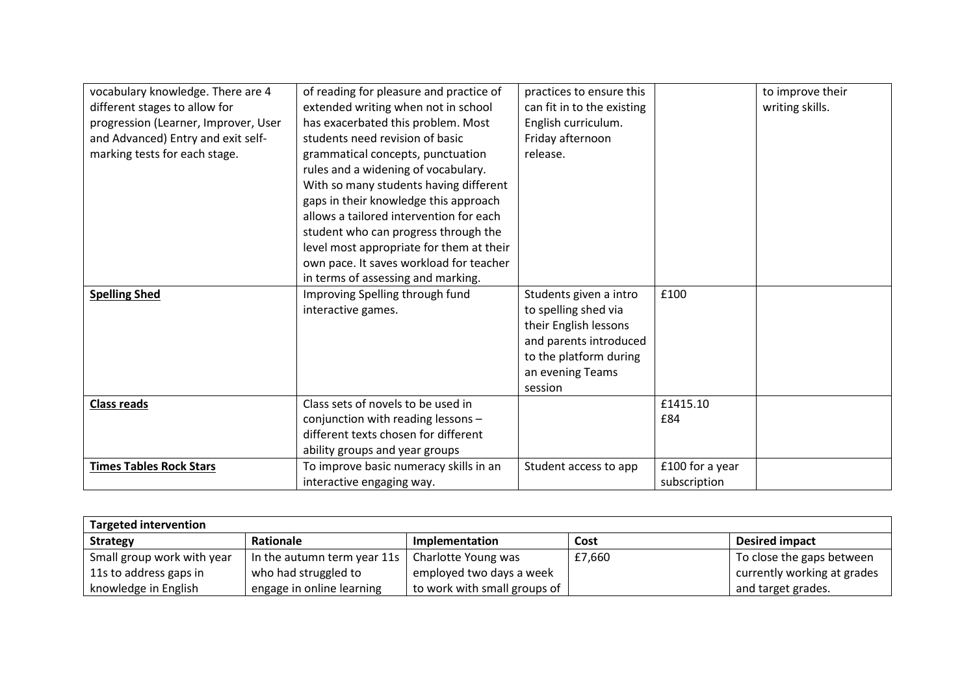| vocabulary knowledge. There are 4    | of reading for pleasure and practice of  | practices to ensure this   |                 | to improve their |
|--------------------------------------|------------------------------------------|----------------------------|-----------------|------------------|
| different stages to allow for        | extended writing when not in school      | can fit in to the existing |                 | writing skills.  |
| progression (Learner, Improver, User | has exacerbated this problem. Most       | English curriculum.        |                 |                  |
| and Advanced) Entry and exit self-   | students need revision of basic          | Friday afternoon           |                 |                  |
| marking tests for each stage.        | grammatical concepts, punctuation        | release.                   |                 |                  |
|                                      | rules and a widening of vocabulary.      |                            |                 |                  |
|                                      | With so many students having different   |                            |                 |                  |
|                                      | gaps in their knowledge this approach    |                            |                 |                  |
|                                      | allows a tailored intervention for each  |                            |                 |                  |
|                                      | student who can progress through the     |                            |                 |                  |
|                                      | level most appropriate for them at their |                            |                 |                  |
|                                      | own pace. It saves workload for teacher  |                            |                 |                  |
|                                      | in terms of assessing and marking.       |                            |                 |                  |
| <b>Spelling Shed</b>                 | Improving Spelling through fund          | Students given a intro     | £100            |                  |
|                                      | interactive games.                       | to spelling shed via       |                 |                  |
|                                      |                                          | their English lessons      |                 |                  |
|                                      |                                          | and parents introduced     |                 |                  |
|                                      |                                          | to the platform during     |                 |                  |
|                                      |                                          | an evening Teams           |                 |                  |
|                                      |                                          | session                    |                 |                  |
| <b>Class reads</b>                   | Class sets of novels to be used in       |                            | £1415.10        |                  |
|                                      | conjunction with reading lessons -       |                            | £84             |                  |
|                                      | different texts chosen for different     |                            |                 |                  |
|                                      | ability groups and year groups           |                            |                 |                  |
| <b>Times Tables Rock Stars</b>       | To improve basic numeracy skills in an   | Student access to app      | £100 for a year |                  |
|                                      | interactive engaging way.                |                            | subscription    |                  |

| <b>Targeted intervention</b> |                                         |                              |        |                             |  |
|------------------------------|-----------------------------------------|------------------------------|--------|-----------------------------|--|
| <b>Strategy</b>              | Rationale                               | Implementation               | Cost   | <b>Desired impact</b>       |  |
| Small group work with year   | In the autumn term year 11s $\parallel$ | Charlotte Young was          | £7,660 | To close the gaps between   |  |
| 11s to address gaps in       | who had struggled to                    | employed two days a week     |        | currently working at grades |  |
| knowledge in English         | engage in online learning               | to work with small groups of |        | and target grades.          |  |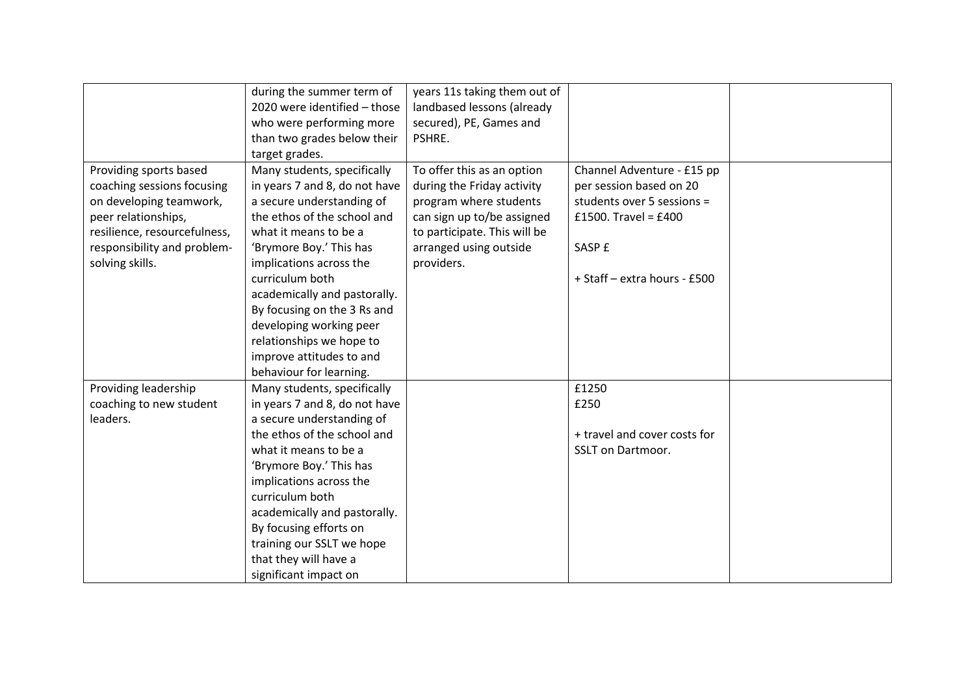|                              | during the summer term of     | years 11s taking them out of |                              |  |
|------------------------------|-------------------------------|------------------------------|------------------------------|--|
|                              | 2020 were identified - those  | landbased lessons (already   |                              |  |
|                              | who were performing more      | secured), PE, Games and      |                              |  |
|                              | than two grades below their   | PSHRE.                       |                              |  |
|                              | target grades.                |                              |                              |  |
| Providing sports based       | Many students, specifically   | To offer this as an option   | Channel Adventure - £15 pp   |  |
| coaching sessions focusing   | in years 7 and 8, do not have | during the Friday activity   | per session based on 20      |  |
| on developing teamwork,      | a secure understanding of     | program where students       | students over 5 sessions =   |  |
| peer relationships,          | the ethos of the school and   | can sign up to/be assigned   | £1500. Travel = £400         |  |
| resilience, resourcefulness, | what it means to be a         | to participate. This will be |                              |  |
| responsibility and problem-  | 'Brymore Boy.' This has       | arranged using outside       | SASP £                       |  |
| solving skills.              | implications across the       | providers.                   |                              |  |
|                              | curriculum both               |                              | + Staff - extra hours - £500 |  |
|                              | academically and pastorally.  |                              |                              |  |
|                              | By focusing on the 3 Rs and   |                              |                              |  |
|                              | developing working peer       |                              |                              |  |
|                              | relationships we hope to      |                              |                              |  |
|                              | improve attitudes to and      |                              |                              |  |
|                              | behaviour for learning.       |                              |                              |  |
| Providing leadership         | Many students, specifically   |                              | £1250                        |  |
| coaching to new student      | in years 7 and 8, do not have |                              | £250                         |  |
| leaders.                     | a secure understanding of     |                              |                              |  |
|                              | the ethos of the school and   |                              | + travel and cover costs for |  |
|                              | what it means to be a         |                              | <b>SSLT on Dartmoor.</b>     |  |
|                              | 'Brymore Boy.' This has       |                              |                              |  |
|                              | implications across the       |                              |                              |  |
|                              | curriculum both               |                              |                              |  |
|                              | academically and pastorally.  |                              |                              |  |
|                              | By focusing efforts on        |                              |                              |  |
|                              | training our SSLT we hope     |                              |                              |  |
|                              | that they will have a         |                              |                              |  |
|                              | significant impact on         |                              |                              |  |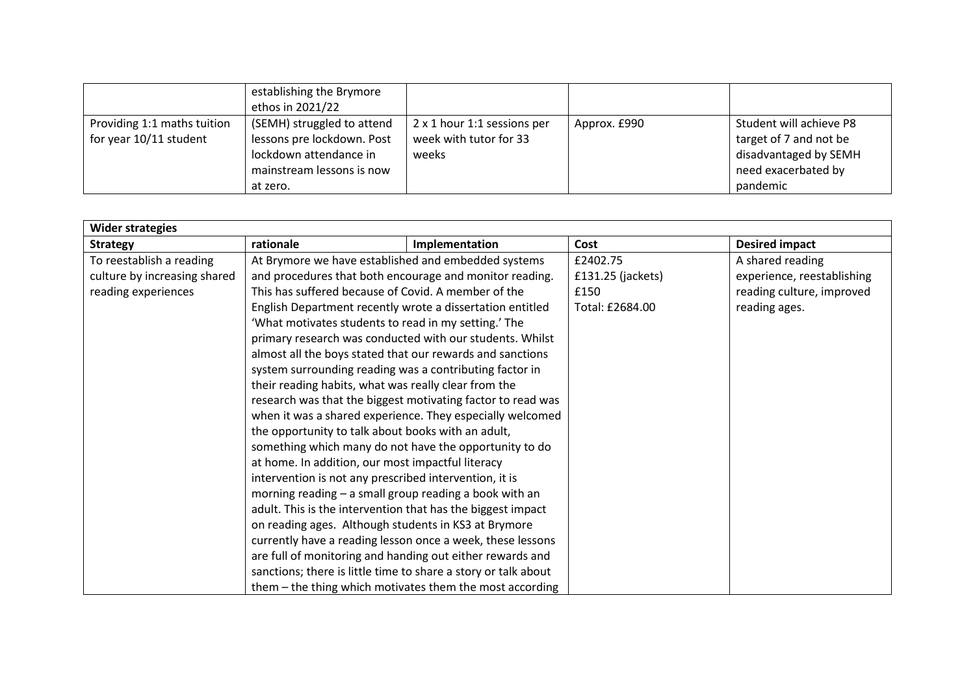|                                                       | establishing the Brymore<br>ethos in 2021/22                                                                                |                                                                |              |                                                                                                               |
|-------------------------------------------------------|-----------------------------------------------------------------------------------------------------------------------------|----------------------------------------------------------------|--------------|---------------------------------------------------------------------------------------------------------------|
| Providing 1:1 maths tuition<br>for year 10/11 student | (SEMH) struggled to attend<br>lessons pre lockdown. Post<br>lockdown attendance in<br>mainstream lessons is now<br>at zero. | 2 x 1 hour 1:1 sessions per<br>week with tutor for 33<br>weeks | Approx. £990 | Student will achieve P8<br>target of 7 and not be<br>disadvantaged by SEMH<br>need exacerbated by<br>pandemic |

| <b>Wider strategies</b>      |                                                                |                |                   |                            |
|------------------------------|----------------------------------------------------------------|----------------|-------------------|----------------------------|
| <b>Strategy</b>              | rationale                                                      | Implementation | Cost              | <b>Desired impact</b>      |
| To reestablish a reading     | At Brymore we have established and embedded systems            |                | £2402.75          | A shared reading           |
| culture by increasing shared | and procedures that both encourage and monitor reading.        |                | £131.25 (jackets) | experience, reestablishing |
| reading experiences          | This has suffered because of Covid. A member of the            |                | £150              | reading culture, improved  |
|                              | English Department recently wrote a dissertation entitled      |                | Total: £2684.00   | reading ages.              |
|                              | 'What motivates students to read in my setting.' The           |                |                   |                            |
|                              | primary research was conducted with our students. Whilst       |                |                   |                            |
|                              | almost all the boys stated that our rewards and sanctions      |                |                   |                            |
|                              | system surrounding reading was a contributing factor in        |                |                   |                            |
|                              | their reading habits, what was really clear from the           |                |                   |                            |
|                              | research was that the biggest motivating factor to read was    |                |                   |                            |
|                              | when it was a shared experience. They especially welcomed      |                |                   |                            |
|                              | the opportunity to talk about books with an adult,             |                |                   |                            |
|                              | something which many do not have the opportunity to do         |                |                   |                            |
|                              | at home. In addition, our most impactful literacy              |                |                   |                            |
|                              | intervention is not any prescribed intervention, it is         |                |                   |                            |
|                              | morning reading - a small group reading a book with an         |                |                   |                            |
|                              | adult. This is the intervention that has the biggest impact    |                |                   |                            |
|                              | on reading ages. Although students in KS3 at Brymore           |                |                   |                            |
|                              | currently have a reading lesson once a week, these lessons     |                |                   |                            |
|                              | are full of monitoring and handing out either rewards and      |                |                   |                            |
|                              | sanctions; there is little time to share a story or talk about |                |                   |                            |
|                              | them - the thing which motivates them the most according       |                |                   |                            |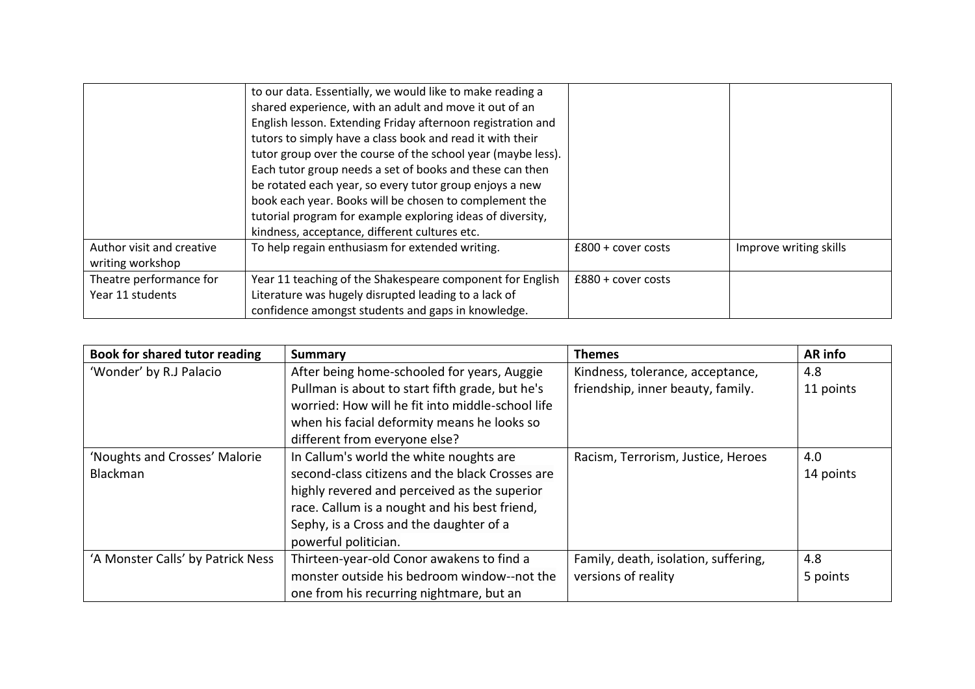|                           | to our data. Essentially, we would like to make reading a    |                      |                        |
|---------------------------|--------------------------------------------------------------|----------------------|------------------------|
|                           | shared experience, with an adult and move it out of an       |                      |                        |
|                           | English lesson. Extending Friday afternoon registration and  |                      |                        |
|                           | tutors to simply have a class book and read it with their    |                      |                        |
|                           | tutor group over the course of the school year (maybe less). |                      |                        |
|                           | Each tutor group needs a set of books and these can then     |                      |                        |
|                           | be rotated each year, so every tutor group enjoys a new      |                      |                        |
|                           | book each year. Books will be chosen to complement the       |                      |                        |
|                           | tutorial program for example exploring ideas of diversity,   |                      |                        |
|                           | kindness, acceptance, different cultures etc.                |                      |                        |
| Author visit and creative | To help regain enthusiasm for extended writing.              | $£800 + cover costs$ | Improve writing skills |
| writing workshop          |                                                              |                      |                        |
| Theatre performance for   | Year 11 teaching of the Shakespeare component for English    | $£880 + cover costs$ |                        |
| Year 11 students          | Literature was hugely disrupted leading to a lack of         |                      |                        |
|                           | confidence amongst students and gaps in knowledge.           |                      |                        |

| Book for shared tutor reading     | <b>Summary</b>                                   | <b>Themes</b>                        | <b>AR</b> info |
|-----------------------------------|--------------------------------------------------|--------------------------------------|----------------|
| 'Wonder' by R.J Palacio           | After being home-schooled for years, Auggie      | Kindness, tolerance, acceptance,     | 4.8            |
|                                   | Pullman is about to start fifth grade, but he's  | friendship, inner beauty, family.    | 11 points      |
|                                   | worried: How will he fit into middle-school life |                                      |                |
|                                   | when his facial deformity means he looks so      |                                      |                |
|                                   | different from everyone else?                    |                                      |                |
| 'Noughts and Crosses' Malorie     | In Callum's world the white noughts are          | Racism, Terrorism, Justice, Heroes   | 4.0            |
| Blackman                          | second-class citizens and the black Crosses are  |                                      | 14 points      |
|                                   | highly revered and perceived as the superior     |                                      |                |
|                                   | race. Callum is a nought and his best friend,    |                                      |                |
|                                   | Sephy, is a Cross and the daughter of a          |                                      |                |
|                                   | powerful politician.                             |                                      |                |
| 'A Monster Calls' by Patrick Ness | Thirteen-year-old Conor awakens to find a        | Family, death, isolation, suffering, | 4.8            |
|                                   | monster outside his bedroom window--not the      | versions of reality                  | 5 points       |
|                                   | one from his recurring nightmare, but an         |                                      |                |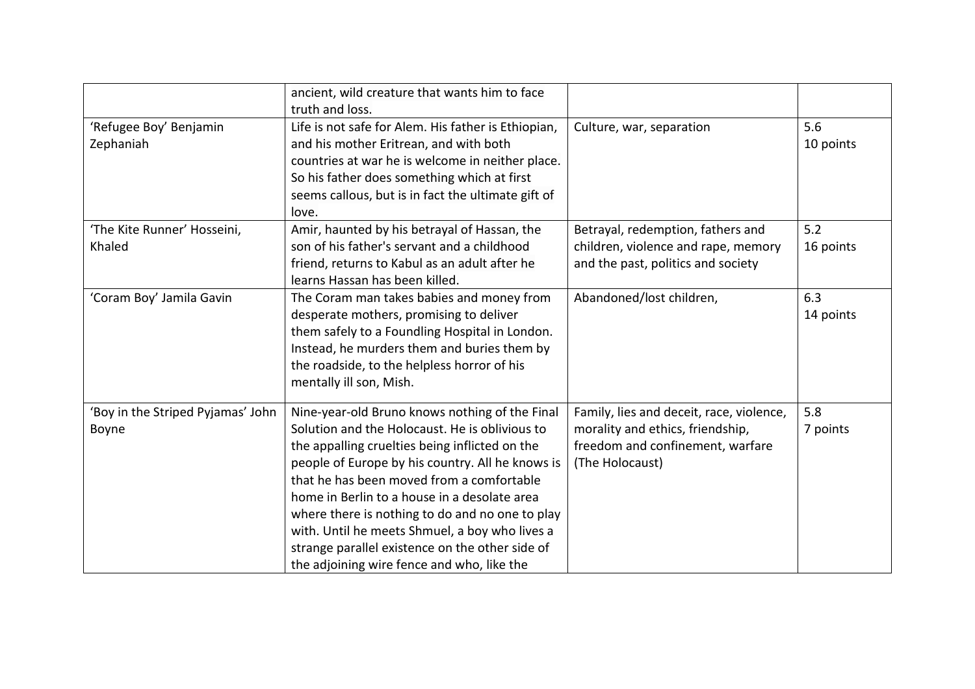|                                            | ancient, wild creature that wants him to face<br>truth and loss.                                                                                                                                                                                                                                                                                                                                                                                                                                          |                                                                                                                                     |                  |
|--------------------------------------------|-----------------------------------------------------------------------------------------------------------------------------------------------------------------------------------------------------------------------------------------------------------------------------------------------------------------------------------------------------------------------------------------------------------------------------------------------------------------------------------------------------------|-------------------------------------------------------------------------------------------------------------------------------------|------------------|
| 'Refugee Boy' Benjamin<br>Zephaniah        | Life is not safe for Alem. His father is Ethiopian,<br>and his mother Eritrean, and with both<br>countries at war he is welcome in neither place.<br>So his father does something which at first<br>seems callous, but is in fact the ultimate gift of<br>love.                                                                                                                                                                                                                                           | Culture, war, separation                                                                                                            | 5.6<br>10 points |
| 'The Kite Runner' Hosseini,<br>Khaled      | Amir, haunted by his betrayal of Hassan, the<br>son of his father's servant and a childhood<br>friend, returns to Kabul as an adult after he<br>learns Hassan has been killed.                                                                                                                                                                                                                                                                                                                            | Betrayal, redemption, fathers and<br>children, violence and rape, memory<br>and the past, politics and society                      | 5.2<br>16 points |
| 'Coram Boy' Jamila Gavin                   | The Coram man takes babies and money from<br>desperate mothers, promising to deliver<br>them safely to a Foundling Hospital in London.<br>Instead, he murders them and buries them by<br>the roadside, to the helpless horror of his<br>mentally ill son, Mish.                                                                                                                                                                                                                                           | Abandoned/lost children,                                                                                                            | 6.3<br>14 points |
| 'Boy in the Striped Pyjamas' John<br>Boyne | Nine-year-old Bruno knows nothing of the Final<br>Solution and the Holocaust. He is oblivious to<br>the appalling cruelties being inflicted on the<br>people of Europe by his country. All he knows is<br>that he has been moved from a comfortable<br>home in Berlin to a house in a desolate area<br>where there is nothing to do and no one to play<br>with. Until he meets Shmuel, a boy who lives a<br>strange parallel existence on the other side of<br>the adjoining wire fence and who, like the | Family, lies and deceit, race, violence,<br>morality and ethics, friendship,<br>freedom and confinement, warfare<br>(The Holocaust) | 5.8<br>7 points  |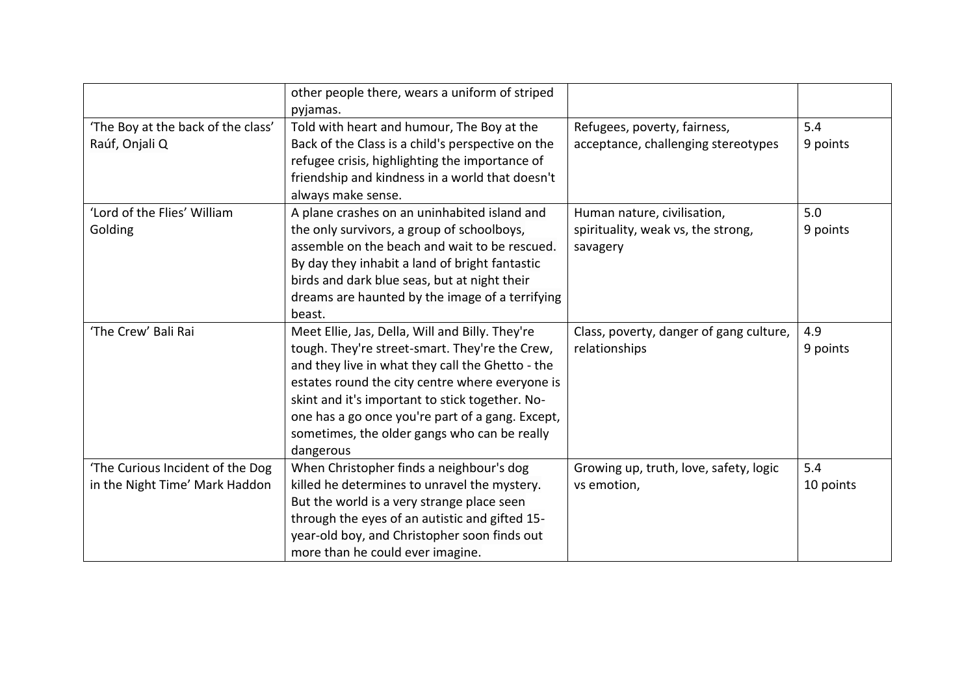|                                    | other people there, wears a uniform of striped    |                                         |           |
|------------------------------------|---------------------------------------------------|-----------------------------------------|-----------|
|                                    | pyjamas.                                          |                                         | 5.4       |
| 'The Boy at the back of the class' | Told with heart and humour, The Boy at the        | Refugees, poverty, fairness,            |           |
| Raúf, Onjali Q                     | Back of the Class is a child's perspective on the | acceptance, challenging stereotypes     | 9 points  |
|                                    | refugee crisis, highlighting the importance of    |                                         |           |
|                                    | friendship and kindness in a world that doesn't   |                                         |           |
|                                    | always make sense.                                |                                         |           |
| 'Lord of the Flies' William        | A plane crashes on an uninhabited island and      | Human nature, civilisation,             | 5.0       |
| Golding                            | the only survivors, a group of schoolboys,        | spirituality, weak vs, the strong,      | 9 points  |
|                                    | assemble on the beach and wait to be rescued.     | savagery                                |           |
|                                    | By day they inhabit a land of bright fantastic    |                                         |           |
|                                    | birds and dark blue seas, but at night their      |                                         |           |
|                                    | dreams are haunted by the image of a terrifying   |                                         |           |
|                                    | beast.                                            |                                         |           |
| 'The Crew' Bali Rai                | Meet Ellie, Jas, Della, Will and Billy. They're   | Class, poverty, danger of gang culture, | 4.9       |
|                                    | tough. They're street-smart. They're the Crew,    | relationships                           | 9 points  |
|                                    | and they live in what they call the Ghetto - the  |                                         |           |
|                                    | estates round the city centre where everyone is   |                                         |           |
|                                    | skint and it's important to stick together. No-   |                                         |           |
|                                    | one has a go once you're part of a gang. Except,  |                                         |           |
|                                    | sometimes, the older gangs who can be really      |                                         |           |
|                                    | dangerous                                         |                                         |           |
| 'The Curious Incident of the Dog   | When Christopher finds a neighbour's dog          | Growing up, truth, love, safety, logic  | 5.4       |
| in the Night Time' Mark Haddon     | killed he determines to unravel the mystery.      | vs emotion,                             | 10 points |
|                                    | But the world is a very strange place seen        |                                         |           |
|                                    | through the eyes of an autistic and gifted 15-    |                                         |           |
|                                    | year-old boy, and Christopher soon finds out      |                                         |           |
|                                    | more than he could ever imagine.                  |                                         |           |